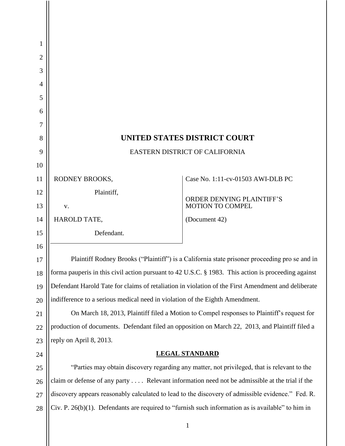| 1                                                                                                         |  |
|-----------------------------------------------------------------------------------------------------------|--|
|                                                                                                           |  |
|                                                                                                           |  |
| $\overline{2}$                                                                                            |  |
| 3                                                                                                         |  |
| $\overline{4}$                                                                                            |  |
| 5                                                                                                         |  |
| 6<br>7                                                                                                    |  |
| <b>UNITED STATES DISTRICT COURT</b><br>8                                                                  |  |
| 9<br>EASTERN DISTRICT OF CALIFORNIA                                                                       |  |
| 10                                                                                                        |  |
| Case No. 1:11-cv-01503 AWI-DLB PC<br>11<br>RODNEY BROOKS,                                                 |  |
| Plaintiff,<br>12                                                                                          |  |
| ORDER DENYING PLAINTIFF'S<br><b>MOTION TO COMPEL</b><br>13<br>V.                                          |  |
| 14<br>HAROLD TATE,<br>(Document 42)                                                                       |  |
| Defendant.<br>15                                                                                          |  |
| 16                                                                                                        |  |
| Plaintiff Rodney Brooks ("Plaintiff") is a California state prisoner proceeding pro se and in             |  |
| forma pauperis in this civil action pursuant to 42 U.S.C. § 1983. This action is proceeding against<br>18 |  |
| Defendant Harold Tate for claims of retaliation in violation of the First Amendment and deliberate<br>19  |  |
| indifference to a serious medical need in violation of the Eighth Amendment.<br>20                        |  |
| On March 18, 2013, Plaintiff filed a Motion to Compel responses to Plaintiff's request for<br>21          |  |
| production of documents. Defendant filed an opposition on March 22, 2013, and Plaintiff filed a<br>22     |  |
| reply on April 8, 2013.<br>23                                                                             |  |
| <b>LEGAL STANDARD</b><br>24                                                                               |  |
| "Parties may obtain discovery regarding any matter, not privileged, that is relevant to the<br>25         |  |
| claim or defense of any party  Relevant information need not be admissible at the trial if the<br>26      |  |
| discovery appears reasonably calculated to lead to the discovery of admissible evidence." Fed. R.<br>27   |  |
| Civ. P. 26(b)(1). Defendants are required to "furnish such information as is available" to him in<br>28   |  |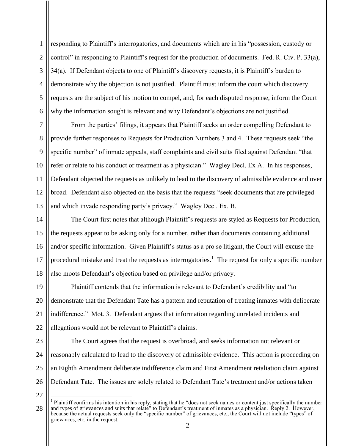2 3 4 5 6 responding to Plaintiff's interrogatories, and documents which are in his "possession, custody or control" in responding to Plaintiff's request for the production of documents. Fed. R. Civ. P. 33(a), 34(a). If Defendant objects to one of Plaintiff's discovery requests, it is Plaintiff's burden to demonstrate why the objection is not justified. Plaintiff must inform the court which discovery requests are the subject of his motion to compel, and, for each disputed response, inform the Court why the information sought is relevant and why Defendant's objections are not justified.

7 8 9 10 11 12 13 From the parties' filings, it appears that Plaintiff seeks an order compelling Defendant to provide further responses to Requests for Production Numbers 3 and 4. These requests seek "the specific number" of inmate appeals, staff complaints and civil suits filed against Defendant "that refer or relate to his conduct or treatment as a physician." Wagley Decl. Ex A. In his responses, Defendant objected the requests as unlikely to lead to the discovery of admissible evidence and over broad. Defendant also objected on the basis that the requests "seek documents that are privileged and which invade responding party's privacy." Wagley Decl. Ex. B.

14 15 16 17 18 The Court first notes that although Plaintiff's requests are styled as Requests for Production, the requests appear to be asking only for a number, rather than documents containing additional and/or specific information. Given Plaintiff's status as a pro se litigant, the Court will excuse the procedural mistake and treat the requests as interrogatories.<sup>1</sup> The request for only a specific number also moots Defendant's objection based on privilege and/or privacy.

19 20 21 22 Plaintiff contends that the information is relevant to Defendant's credibility and "to demonstrate that the Defendant Tate has a pattern and reputation of treating inmates with deliberate indifference." Mot. 3. Defendant argues that information regarding unrelated incidents and allegations would not be relevant to Plaintiff's claims.

23

1

24 25 26 The Court agrees that the request is overbroad, and seeks information not relevant or reasonably calculated to lead to the discovery of admissible evidence. This action is proceeding on an Eighth Amendment deliberate indifference claim and First Amendment retaliation claim against Defendant Tate. The issues are solely related to Defendant Tate's treatment and/or actions taken

27

<sup>28</sup> <sup>1</sup> Plaintiff confirms his intention in his reply, stating that he "does not seek names or content just specifically the number and types of grievances and suits that relate" to Defendant's treatment of inmates as a physician. Reply 2. However, because the actual requests seek only the "specific number" of grievances, etc., the Court will not include "types" of grievances, etc. in the request.